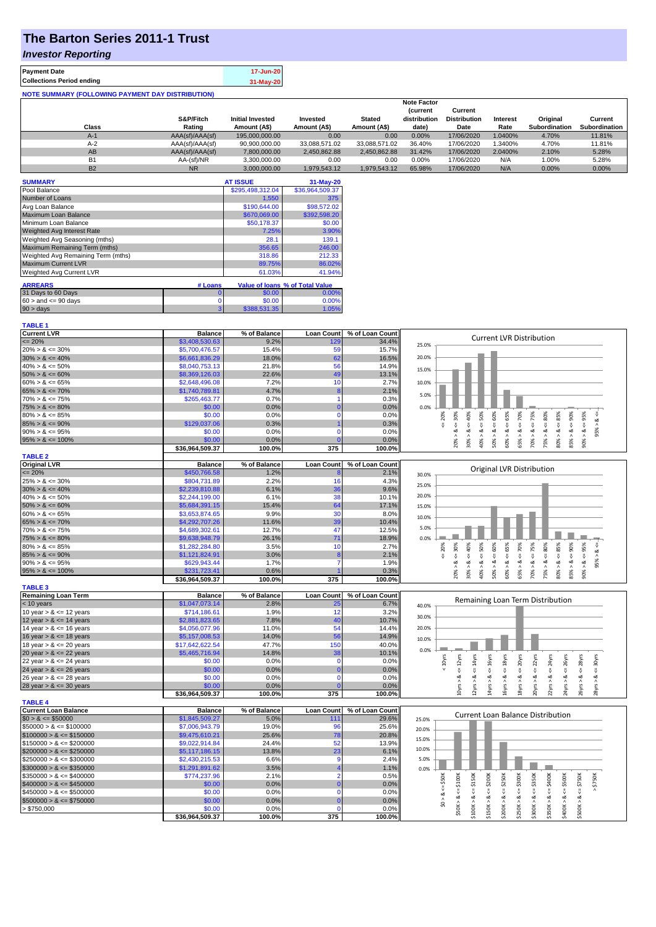# **The Barton Series 2011-1 Trust**

### *Investor Reporting*

| <b>Payment Date</b>                                      | 17-Jun-20 |
|----------------------------------------------------------|-----------|
| <b>Collections Period ending</b>                         | 31-May-20 |
| <b>NOTE SUMMARY (FOLLOWING PAYMENT DAY DISTRIBUTION)</b> |           |

|           |                 |                         |               |               | <b>Note Factor</b> |                     |                 |                      |               |
|-----------|-----------------|-------------------------|---------------|---------------|--------------------|---------------------|-----------------|----------------------|---------------|
|           |                 |                         |               |               | <b>Current</b>     | Current             |                 |                      |               |
|           | S&P/Fitch       | <b>Initial Invested</b> | Invested      | <b>Stated</b> | distribution       | <b>Distribution</b> | <b>Interest</b> | Original             | Current       |
| Class     | Rating          | Amount (A\$)            | Amount (A\$)  | Amount (A\$)  | date)              | Date                | Rate            | <b>Subordination</b> | Subordination |
| $A-1$     | AAA(sf)/AAA(sf) | 195,000,000.00          | 0.00          | 0.00          | 0.00%              | 17/06/2020          | .0400%          | 4.70%                | 11.81%        |
| $A-2$     | AAA(sf)/AAA(sf) | 90,900,000.00           | 33.088.571.02 | 33.088.571.02 | 36.40%             | 17/06/2020          | .3400%          | 4.70%                | 11.81%        |
| AB        | AAA(sf)/AAA(sf) | 7.800.000.00            | 2.450.862.88  | 2.450.862.88  | 31.42%             | 17/06/2020          | 2.0400%         | 2.10%                | 5.28%         |
| <b>B1</b> | AA-(sf)/NR      | 3.300.000.00            | 0.00          | 0.00          | 0.00%              | 17/06/2020          | N/A             | 1.00%                | 5.28%         |
| <b>B2</b> | <b>NR</b>       | 3.000.000.00            | 1.979.543.12  | 1.979.543.12  | 65.98%             | 17/06/2020          | N/A             | 0.00%                | 0.00%         |

| <b>SUMMARY</b>                     |         | <b>AT ISSUE</b>  | 31-May-20                       |
|------------------------------------|---------|------------------|---------------------------------|
| Pool Balance                       |         | \$295,498,312.04 | \$36,964,509.37                 |
| Number of Loans                    |         | 1,550            | 375                             |
| Avg Loan Balance                   |         | \$190,644.00     | \$98,572.02                     |
| Maximum Loan Balance               |         | \$670,069.00     | \$392,598.20                    |
| Minimum Loan Balance               |         | \$50,178.37      | \$0.00                          |
| <b>Weighted Avg Interest Rate</b>  |         | 7.25%            | 3.90%                           |
| Weighted Avg Seasoning (mths)      |         | 28.1             | 139.1                           |
| Maximum Remaining Term (mths)      |         | 356.65           | 246.00                          |
| Weighted Avg Remaining Term (mths) |         | 318.86           | 212.33                          |
| <b>Maximum Current LVR</b>         |         | 89.75%           | 86.02%                          |
| <b>Weighted Avg Current LVR</b>    |         | 61.03%           | 41.94%                          |
| <b>ARREARS</b>                     | # Loans |                  | Value of loans % of Total Value |
| 31 Days to 60 Days                 | O       | \$0.00           | 0.00%                           |
| $60 >$ and $\leq 90$ days          | 0       | \$0.00           | 0.00%                           |
| $90 > \text{days}$                 | 3       | \$388,531.35     | 1.05%                           |

| <b>TABLE 1</b>              |                 |              |                   |                 |                                                                                                                                                                                                                  |
|-----------------------------|-----------------|--------------|-------------------|-----------------|------------------------------------------------------------------------------------------------------------------------------------------------------------------------------------------------------------------|
| <b>Current LVR</b>          | <b>Balance</b>  | % of Balance | <b>Loan Count</b> | % of Loan Count |                                                                                                                                                                                                                  |
| $\epsilon = 20\%$           | \$3,408,530.63  | 9.2%         | 129               | 34.4%           | <b>Current LVR Distribution</b><br>25.0%                                                                                                                                                                         |
| $20\% > 8 \le 30\%$         | \$5,700,476.57  | 15.4%        | 59                | 15.7%           |                                                                                                                                                                                                                  |
| $30\% > 8 \le 40\%$         | \$6,661,836.29  | 18.0%        | 62                | 16.5%           | 20.0%                                                                                                                                                                                                            |
| $40\% > 8 \le 50\%$         | \$8,040,753.13  | 21.8%        | 56                | 14.9%           |                                                                                                                                                                                                                  |
| $50\% > 8 \le 60\%$         | \$8,369,126.03  | 22.6%        | 49                | 13.1%           | 15.0%                                                                                                                                                                                                            |
| $60\% > 8 \le 65\%$         | \$2,648,496.08  | 7.2%         | 10                | 2.7%            | 10.0%                                                                                                                                                                                                            |
| $65\% > 8 \le 70\%$         | \$1,740,789.81  | 4.7%         | 8                 | 2.1%            |                                                                                                                                                                                                                  |
| $70\% > 8 \le 75\%$         | \$265,463.77    | 0.7%         |                   | 0.3%            | 5.0%                                                                                                                                                                                                             |
| $75\% > 8 \le 80\%$         | \$0.00          | 0.0%         | $\Omega$          | 0.0%            | 0.0%                                                                                                                                                                                                             |
| $80\% > 8 \le 85\%$         | \$0.00          | 0.0%         | $\Omega$          | 0.0%            | $\leq 50\%$<br>$4 = 70\%$<br>$4 = 30\%$<br>20%<br>8 <                                                                                                                                                            |
| $85\% > 8 \le 90\%$         | \$129,037.06    | 0.3%         |                   | 0.3%            | $8 - 75%$<br>$8 - 40%$<br>$8 - 80%$<br>ű                                                                                                                                                                         |
| $90\% > 8 \le 95\%$         | \$0.00          | 0.0%         | n                 | 0.0%            | 95%<br>ઌૻ<br>ż                                                                                                                                                                                                   |
| $95\% > 8 \le 100\%$        | \$0.00          | 0.0%         |                   | 0.0%            | $50\% > 8 <= 60\%$<br>$60\% > 8 \leq 65\%$<br>$90\% > 8 <= 95\%$<br>$80\% > 8.4 = 85\%$<br>$85% > 8 <= 90%$<br>65% > 8.<br>$30\% >$<br>70% > 3<br>Λ<br>40% ><br>75% ><br>20%                                     |
|                             | \$36,964,509.37 | 100.0%       | 375               | 100.0%          |                                                                                                                                                                                                                  |
| <b>TABLE 2</b>              |                 |              |                   |                 |                                                                                                                                                                                                                  |
| <b>Original LVR</b>         | <b>Balance</b>  | % of Balance | <b>Loan Count</b> | % of Loan Count |                                                                                                                                                                                                                  |
| $= 20%$                     | \$450,766.58    | 1.2%         |                   | 2.1%            | Original LVR Distribution<br>30.0%                                                                                                                                                                               |
| $25\% > 8 \le 30\%$         | \$804,731.89    | 2.2%         | 16                | 4.3%            | 25.0%                                                                                                                                                                                                            |
| $30\% > 8 \le 40\%$         | \$2,239,810.88  | 6.1%         | 36                | 9.6%            |                                                                                                                                                                                                                  |
| $40\% > 8 \le 50\%$         | \$2,244,199.00  | 6.1%         | 38                | 10.1%           | 20.0%                                                                                                                                                                                                            |
| $50\% > 8 \le 60\%$         | \$5,684,391.15  | 15.4%        | 64                | 17.1%           | 15.0%                                                                                                                                                                                                            |
| $60\% > 8 \le 65\%$         | \$3,653,874.65  | 9.9%         | 30                | 8.0%            | 10.0%                                                                                                                                                                                                            |
| $65\% > 8 \le 70\%$         | \$4,292,707.26  | 11.6%        | 39                | 10.4%           |                                                                                                                                                                                                                  |
| $70\% > 8 \le 75\%$         | \$4,689,302.61  | 12.7%        | 47                | 12.5%           | 5.0%                                                                                                                                                                                                             |
| $75\% > 8 \le 80\%$         | \$9,638,948.79  | 26.1%        | 71                | 18.9%           | 0.0%                                                                                                                                                                                                             |
| $80\% > 8 \le 85\%$         | \$1,282,284.80  | 3.5%         | 10                | 2.7%            | 70%<br>$<=80\%$<br>95%<br>30%<br>$8 - 40%$<br>50%<br>75%<br>20%                                                                                                                                                  |
| $85\% > 8 \le 90\%$         | \$1,121,824.91  | 3.0%         | 8                 | 2.1%            | 95% > 8.<br>IJ<br>8 < 1<br>쁬<br>V                                                                                                                                                                                |
| $90\% > 8 \le 95\%$         | \$629,943.44    | 1.7%         |                   | 1.9%            | $\dot{\infty}$<br>∞                                                                                                                                                                                              |
| $95\% > 8 \le 100\%$        | \$231,723.41    | 0.6%         |                   | 0.3%            | $50\% > 8 \le 60\%$<br>$60\% > 8 \leq 65\%$<br>$80\% > 8 <= 85\%$<br>$85% > 8 < = 90%$<br>$70\% > 8 <=$<br>$90\% > 8 <=$<br>20% ><br>$30\%$ $>$<br>$40\%$ $>$<br>65% ><br>75% >                                  |
|                             | \$36,964,509.37 | 100.0%       | 375               | 100.0%          |                                                                                                                                                                                                                  |
| <b>TABLE 3</b>              |                 |              |                   |                 |                                                                                                                                                                                                                  |
| <b>Remaining Loan Term</b>  | <b>Balance</b>  | % of Balance | <b>Loan Count</b> | % of Loan Count |                                                                                                                                                                                                                  |
| < 10 years                  | \$1,047,073.14  | 2.8%         | 25                | 6.7%            | Remaining Loan Term Distribution<br>40.0%                                                                                                                                                                        |
| 10 year $> 8 \le 12$ years  | \$714,186.61    | 1.9%         | 12                | 3.2%            | 30.0%                                                                                                                                                                                                            |
| 12 year $> 8 \le 14$ years  | \$2,881,823.65  | 7.8%         | 40                | 10.7%           |                                                                                                                                                                                                                  |
| 14 year $> 8 \le 16$ years  | \$4,056,077.96  | 11.0%        | 54                | 14.4%           | 20.0%                                                                                                                                                                                                            |
| 16 year $> 8 \le 18$ years  | \$5,157,008.53  | 14.0%        | 56                | 14.9%           | 10.0%                                                                                                                                                                                                            |
| 18 year $> 8 \le 20$ years  | \$17,642,622.54 | 47.7%        | 150               | 40.0%           |                                                                                                                                                                                                                  |
| 20 year $> 8 \le 22$ years  | \$5,465,716.94  | 14.8%        | 38                | 10.1%           | 0.0%                                                                                                                                                                                                             |
| 22 year $> 8 \le 24$ years  | \$0.00          | 0.0%         | $\mathbf 0$       | 0.0%            | $\leq 20$ yrs<br>$\leq$ = 22yrs<br>$\leq$ 14yrs<br>$\leq 16$ yrs<br>$\leq$ = 18 $yrs$<br>$\leq$ = 24yrs<br>$\epsilon$ = 26yrs<br>$\leq$ = 28 $\gamma$ rs<br>$\leq$ 30 $\gamma$ rs<br>$\leq 12$ yrs<br>$< 10$ yrs |
| 24 year $> 8 \le 26$ years  | \$0.00          | 0.0%         |                   | 0.0%            |                                                                                                                                                                                                                  |
| 26 year $> 8 \le 28$ years  | \$0.00          | 0.0%         | $\Omega$          | 0.0%            | ಷ                                                                                                                                                                                                                |
| 28 year $> 8 \le 30$ years  | \$0.00          | 0.0%         |                   | 0.0%            | 10yrs > 8<br>12yrs > 8<br>14yrs > 8<br>18yrs > 8<br>20yrs > 8<br>22yrs > 8<br>24yrs > 8.<br>26yrs > 8<br>28yrs > 8<br>L6yrs >                                                                                    |
|                             | \$36,964,509.37 | 100.0%       | 375               | 100.0%          |                                                                                                                                                                                                                  |
| <b>TABLE 4</b>              |                 |              |                   |                 |                                                                                                                                                                                                                  |
| <b>Current Loan Balance</b> | <b>Balance</b>  | % of Balance | <b>Loan Count</b> | % of Loan Count | <b>Current Loan Balance Distribution</b>                                                                                                                                                                         |
| $$0 > 8 \le $50000$         | \$1,845,509.27  | 5.0%         | 111               | 29.6%           | 25.0%                                                                                                                                                                                                            |
| $$50000 > 8 \le $100000$    | \$7,006,943.79  | 19.0%        | 96                | 25.6%           | 20.0%                                                                                                                                                                                                            |
| $$100000 > 8 \leq $150000$  | \$9,475,610.21  | 25.6%        | 78                | 20.8%           | 15.0%                                                                                                                                                                                                            |
| $$150000 > 8 \leq $200000$  | \$9,022,914.84  | 24.4%        | 52                | 13.9%           | 10.0%                                                                                                                                                                                                            |
| $$200000 > 8 \leq $250000$  | \$5,117,186.15  | 13.8%        | 23                | 6.1%            |                                                                                                                                                                                                                  |
| $$250000 > 8 \leq $300000$  | \$2,430,215.53  | 6.6%         | g                 | 2.4%            | 5.0%                                                                                                                                                                                                             |
| $$300000 > 8 \leq $350000$  | \$1,291,891.62  | 3.5%         |                   | 1.1%            | 0.0%                                                                                                                                                                                                             |
| $$350000 > 8 \leq $400000$  | \$774,237.96    | 2.1%         | $\overline{2}$    | 0.5%            | $\le$ \$150K<br>\$200K<br>$4 = $250K$<br>$4 = $350K$<br>\$750K<br>$<=$ \$50 $K$<br>$\leq$ \$500K                                                                                                                 |
| $$400000 > 8 \le $450000$   | \$0.00          | 0.0%         | n                 | 0.0%            |                                                                                                                                                                                                                  |
| $$450000 > 8 \le $500000$   | \$0.00          | 0.0%         | $\Omega$          | 0.0%            | V                                                                                                                                                                                                                |
| $$500000 > 8 \leq $750000$  | \$0.00          | 0.0%         | $\Omega$          | 0.0%            | $$50K > 8 <= $100K$<br>$$250K > 8 \Leftarrow $300K$<br>$$350K > 8 \Leftarrow $400K$<br>$$500K > 8 \Leftarrow $750K$<br>\$0 > 8.<br>\$100K > 8<br>\$150K > 8<br>\$200K > 8<br>\$300K > 8<br>\$400K > 8            |
| > \$750,000                 | \$0.00          | 0.0%         | $\Omega$          | 0.0%            |                                                                                                                                                                                                                  |
|                             | \$36.964.509.37 | 100.0%       | 375               | 100.0%          |                                                                                                                                                                                                                  |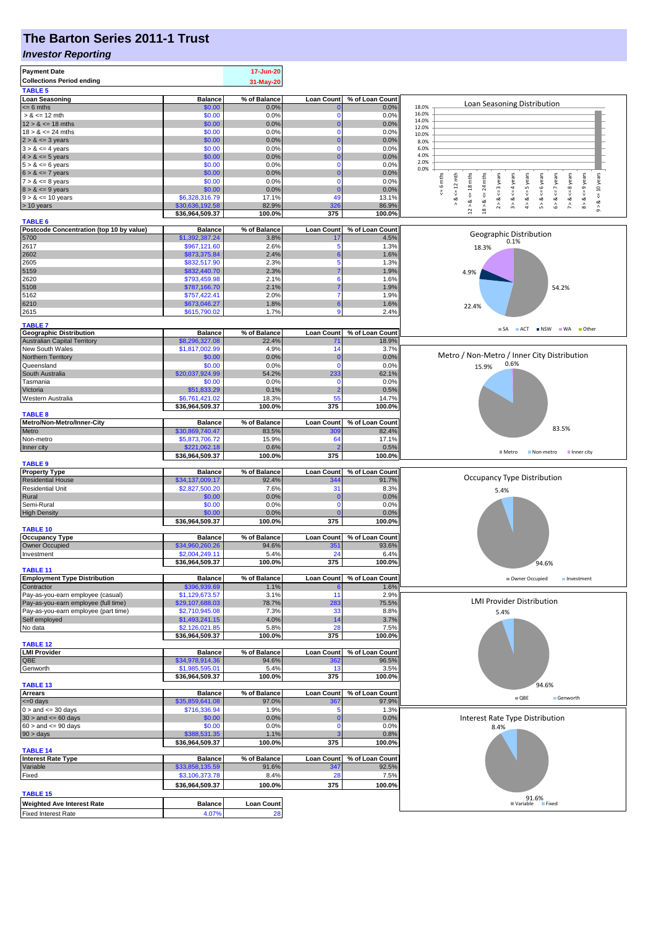## **The Barton Series 2011-1 Trust**

#### *Investor Reporting*

| <b>Payment Date</b>                              |                                   | 17-Jun-20            |                         |                         |                                                                                                                                                                                                               |
|--------------------------------------------------|-----------------------------------|----------------------|-------------------------|-------------------------|---------------------------------------------------------------------------------------------------------------------------------------------------------------------------------------------------------------|
| <b>Collections Period ending</b>                 |                                   | 31-May-20            |                         |                         |                                                                                                                                                                                                               |
| <b>TABLE 5</b>                                   |                                   |                      |                         |                         |                                                                                                                                                                                                               |
| <b>Loan Seasoning</b>                            | <b>Balance</b>                    | % of Balance         | <b>Loan Count</b>       | % of Loan Count         | Loan Seasoning Distribution                                                                                                                                                                                   |
| $\overline{5}$ = 6 mths                          | \$0.00                            | 0.0%                 |                         | 0.0%                    | 18.0%                                                                                                                                                                                                         |
| $> 8 \le 12$ mth                                 | \$0.00                            | 0.0%                 | $\Omega$                | 0.0%                    | 16.0%<br>14.0%                                                                                                                                                                                                |
| $12 > 8 \le 18$ mths                             | \$0.00                            | 0.0%                 | $\Omega$                | 0.0%                    | 12.0%                                                                                                                                                                                                         |
| $18 > 8 \le 24$ mths                             | \$0.00                            | 0.0%                 | $\Omega$                | 0.0%                    | 10.0%                                                                                                                                                                                                         |
| $2 > 8 \le 3$ years<br>$3 > 8 \le 4$ years       | \$0.00<br>\$0.00                  | 0.0%<br>0.0%         | $\Omega$                | 0.0%<br>0.0%            | 8.0%<br>6.0%                                                                                                                                                                                                  |
| $4 > 8 \le 5$ years                              | \$0.00                            | 0.0%                 | C                       | 0.0%                    | 4.0%                                                                                                                                                                                                          |
| $5 > 8 \le 6$ years                              | \$0.00                            | 0.0%                 | $\Omega$                | 0.0%                    | 2.0%                                                                                                                                                                                                          |
| $6 > 8 \le 7$ years                              | \$0.00                            | 0.0%                 |                         | 0.0%                    | 0.0%                                                                                                                                                                                                          |
| $7 > 8 \le 8$ years                              | \$0.00                            | 0.0%                 | $\Omega$                | 0.0%                    | 6 mths<br>mths<br>3 years                                                                                                                                                                                     |
| $8 > 8 \le 9$ years                              | \$0.00                            | 0.0%                 | C                       | 0.0%                    | $\le$ = 10 years<br>$\leq 12$ mth<br>$<=18$ mths<br>$\leq$ = 4 years<br>$4 > 8 < z = 5$ years<br>$5 > 8 <$ <= 6 years<br>$6 > 8 < z < 7$ years<br>$7 > 8 <$ <= 8 years<br>$8 > 8 < = 9$ years<br>$^{24}$<br>₩ |
| $9 > 8 \le 10$ years                             | \$6,328,316.79                    | 17.1%                | 49                      | 13.1%                   | Y<br>ಷ<br>ಹ<br>∞<br>ಷ<br>ವ                                                                                                                                                                                    |
| > 10 years                                       | \$30,636,192.58                   | 82.9%                | 326                     | 86.9%                   | $\wedge$<br>$\stackrel{\wedge}{\scriptstyle\pi}$<br>$\hat{z}$<br>$_{12}$ $\scriptstyle\!\!\!\!\!\!\!\!}$<br>$18$ $\geq$<br>$\hat{\circ}$                                                                      |
|                                                  | \$36,964,509.37                   | 100.0%               | 375                     | 100.0%                  |                                                                                                                                                                                                               |
| <b>TABLE 6</b>                                   |                                   |                      |                         |                         |                                                                                                                                                                                                               |
| Postcode Concentration (top 10 by value)<br>5700 | <b>Balance</b><br>\$1,392,387.24  | % of Balance<br>3.8% | <b>Loan Count</b><br>17 | % of Loan Count<br>4.5% | Geographic Distribution                                                                                                                                                                                       |
| 2617                                             | \$967,121.60                      | 2.6%                 | 5                       | 1.3%                    | 0.1%<br>18.3%                                                                                                                                                                                                 |
| 2602                                             | \$873,375.84                      | 2.4%                 |                         | 1.6%                    |                                                                                                                                                                                                               |
| 2605                                             | \$832,517.90                      | 2.3%                 | 5                       | 1.3%                    |                                                                                                                                                                                                               |
| 5159                                             | \$832,440.70                      | 2.3%                 |                         | 1.9%                    | 4.9%                                                                                                                                                                                                          |
| 2620                                             | \$793,459.98                      | 2.1%                 | 6                       | 1.6%                    |                                                                                                                                                                                                               |
| 5108                                             | \$787,166.70                      | 2.1%                 |                         | 1.9%                    | 54.2%                                                                                                                                                                                                         |
| 5162                                             | \$757,422.41                      | 2.0%                 |                         | 1.9%                    |                                                                                                                                                                                                               |
| 6210                                             | \$673,046.27                      | 1.8%                 | 6                       | 1.6%                    | 22.4%                                                                                                                                                                                                         |
| 2615                                             | \$615,790.02                      | 1.7%                 | g                       | 2.4%                    |                                                                                                                                                                                                               |
| <b>TABLE 7</b>                                   |                                   |                      |                         |                         |                                                                                                                                                                                                               |
| <b>Geographic Distribution</b>                   | <b>Balance</b>                    | % of Balance         | <b>Loan Count</b>       | % of Loan Count         | ACT NSW WA Other<br>$\blacksquare$ SA                                                                                                                                                                         |
| <b>Australian Capital Territory</b>              | \$8,296,327.08                    | 22.4%                | $7^{\circ}$             | 18.9%                   |                                                                                                                                                                                                               |
| New South Wales                                  | \$1,817,002.99                    | 4.9%                 | 14                      | 3.7%                    |                                                                                                                                                                                                               |
| Northern Territory                               | \$0.00                            | 0.0%                 |                         | 0.0%                    | Metro / Non-Metro / Inner City Distribution                                                                                                                                                                   |
| Queensland                                       | \$0.00                            | 0.0%                 | $\Omega$                | 0.0%                    | 0.6%<br>15.9%                                                                                                                                                                                                 |
| South Australia                                  | \$20,037,924.99                   | 54.2%                | 233                     | 62.1%                   |                                                                                                                                                                                                               |
| Tasmania                                         | \$0.00                            | 0.0%                 | 0                       | 0.0%                    |                                                                                                                                                                                                               |
| Victoria                                         | \$51,833.29                       | 0.1%                 |                         | 0.5%                    |                                                                                                                                                                                                               |
| Western Australia                                | \$6,761,421.02                    | 18.3%                | 55<br>375               | 14.7%<br>100.0%         |                                                                                                                                                                                                               |
| <b>TABLE 8</b>                                   | \$36,964,509.37                   | 100.0%               |                         |                         |                                                                                                                                                                                                               |
| Metro/Non-Metro/Inner-City                       | <b>Balance</b>                    | % of Balance         | <b>Loan Count</b>       | % of Loan Count         |                                                                                                                                                                                                               |
| Metro                                            | \$30,869,740.47                   | 83.5%                | 309                     | 82.4%                   | 83.5%                                                                                                                                                                                                         |
| Non-metro                                        | \$5,873,706.72                    | 15.9%                | 64                      | 17.1%                   |                                                                                                                                                                                                               |
| Inner city                                       | \$221,062.18                      | 0.6%                 |                         | 0.5%                    |                                                                                                                                                                                                               |
|                                                  | \$36,964,509.37                   | 100.0%               | 375                     | 100.0%                  | $M$ Metro<br>Non-metro<br>Inner city                                                                                                                                                                          |
|                                                  |                                   |                      |                         |                         |                                                                                                                                                                                                               |
| <b>TABLE 9</b>                                   |                                   |                      |                         |                         |                                                                                                                                                                                                               |
| <b>Property Type</b>                             | <b>Balance</b>                    | % of Balance         | <b>Loan Count</b>       | % of Loan Count         |                                                                                                                                                                                                               |
| <b>Residential House</b>                         | \$34,137,009.17                   | 92.4%                | 344                     | 91.7%                   | Occupancy Type Distribution                                                                                                                                                                                   |
| <b>Residential Unit</b>                          | \$2,827,500.20                    | 7.6%                 | 31                      | 8.3%                    | 5.4%                                                                                                                                                                                                          |
| Rural                                            | \$0.00                            | 0.0%                 | C                       | 0.0%                    |                                                                                                                                                                                                               |
| Semi-Rural                                       | \$0.00                            | 0.0%                 | $\Omega$                | 0.0%                    |                                                                                                                                                                                                               |
| <b>High Density</b>                              | \$0.00                            | 0.0%                 |                         | 0.0%                    |                                                                                                                                                                                                               |
|                                                  | \$36,964,509.37                   | 100.0%               | 375                     | 100.0%                  |                                                                                                                                                                                                               |
| <b>TABLE 10</b>                                  |                                   |                      |                         |                         |                                                                                                                                                                                                               |
| <b>Occupancy Type</b>                            | <b>Balance</b>                    | % of Balance         | <b>Loan Count</b>       | % of Loan Count         |                                                                                                                                                                                                               |
| Owner Occupied                                   | \$34,960,260.26                   | 94.6%<br>5.4%        | 351<br>24               | 93.6%<br>6.4%           |                                                                                                                                                                                                               |
| Investment                                       | \$2,004,249.11<br>\$36,964,509.37 | 100.0%               | 375                     | 100.0%                  |                                                                                                                                                                                                               |
| TABLE 11                                         |                                   |                      |                         |                         | 94.6%                                                                                                                                                                                                         |
| <b>Employment Type Distribution</b>              | <b>Balance</b>                    | % of Balance         | <b>Loan Count</b>       | % of Loan Count         | Owner Occupied<br>Investment                                                                                                                                                                                  |
| Contractor                                       | \$396,939.69                      | 1.1%                 |                         | 1.6%                    |                                                                                                                                                                                                               |
| Pay-as-you-earn employee (casual)                | \$1,129,673.57                    | 3.1%                 | 11                      | 2.9%                    |                                                                                                                                                                                                               |
| Pay-as-you-earn employee (full time)             | \$29,107,688.03                   | 78.7%                | 283                     | 75.5%                   | <b>LMI Provider Distribution</b>                                                                                                                                                                              |
| Pay-as-you-earn employee (part time)             | \$2,710,945.08                    | 7.3%                 | 33                      | 8.8%                    | 5.4%                                                                                                                                                                                                          |
| Self employed                                    | \$1,493,241.15                    | 4.0%                 | 14<br>28                | 3.7%                    |                                                                                                                                                                                                               |
| No data                                          | \$2,126,021.85                    | 5.8%                 |                         | 7.5%                    |                                                                                                                                                                                                               |
| <b>TABLE 12</b>                                  | \$36,964,509.37                   | 100.0%               | 375                     | 100.0%                  |                                                                                                                                                                                                               |
| <b>LMI Provider</b>                              | <b>Balance</b>                    | % of Balance         | <b>Loan Count</b>       | % of Loan Count         |                                                                                                                                                                                                               |
| QBE                                              | \$34,978,914.36                   | 94.6%                | 362                     | 96.5%                   |                                                                                                                                                                                                               |
| Genworth                                         | \$1,985,595.01                    | 5.4%                 | 13                      | 3.5%                    |                                                                                                                                                                                                               |
|                                                  | \$36,964,509.37                   | 100.0%               | 375                     | 100.0%                  |                                                                                                                                                                                                               |
| <b>TABLE 13</b>                                  |                                   |                      |                         |                         | 94.6%                                                                                                                                                                                                         |
| <b>Arrears</b>                                   | <b>Balance</b>                    | % of Balance         | <b>Loan Count</b>       | % of Loan Count         | $\blacksquare$ QBE<br>Genworth                                                                                                                                                                                |
| $<=0$ days                                       | \$35,859,641.08                   | 97.0%                | 367                     | 97.9%                   |                                                                                                                                                                                                               |
| $0 >$ and $\lt = 30$ days                        | \$716,336.94                      | 1.9%                 | 5                       | 1.3%                    |                                                                                                                                                                                                               |
| $30 >$ and $\leq 60$ days                        | \$0.00                            | 0.0%                 | C<br>$\Omega$           | 0.0%                    | Interest Rate Type Distribution                                                                                                                                                                               |
| $60 >$ and $\leq 90$ days                        | \$0.00<br>\$388,531.35            | 0.0%<br>1.1%         |                         | 0.0%<br>0.8%            | 8.4%                                                                                                                                                                                                          |
| $90 > \text{days}$                               | \$36,964,509.37                   | 100.0%               | 375                     | 100.0%                  |                                                                                                                                                                                                               |
| <b>TABLE 14</b>                                  |                                   |                      |                         |                         |                                                                                                                                                                                                               |
| <b>Interest Rate Type</b>                        | <b>Balance</b>                    | % of Balance         | <b>Loan Count</b>       | % of Loan Count         |                                                                                                                                                                                                               |
| Variable                                         | \$33,858,135.59                   | 91.6%                | 347                     | 92.5%                   |                                                                                                                                                                                                               |
| Fixed                                            | \$3,106,373.78                    | 8.4%                 | 28                      | 7.5%                    |                                                                                                                                                                                                               |
|                                                  | \$36,964,509.37                   | 100.0%               | 375                     | 100.0%                  |                                                                                                                                                                                                               |
| <b>TABLE 15</b>                                  |                                   |                      |                         |                         |                                                                                                                                                                                                               |
| <b>Weighted Ave Interest Rate</b>                | <b>Balance</b>                    | <b>Loan Count</b>    |                         |                         | 91.6%<br>Fixed<br>■ Variable                                                                                                                                                                                  |